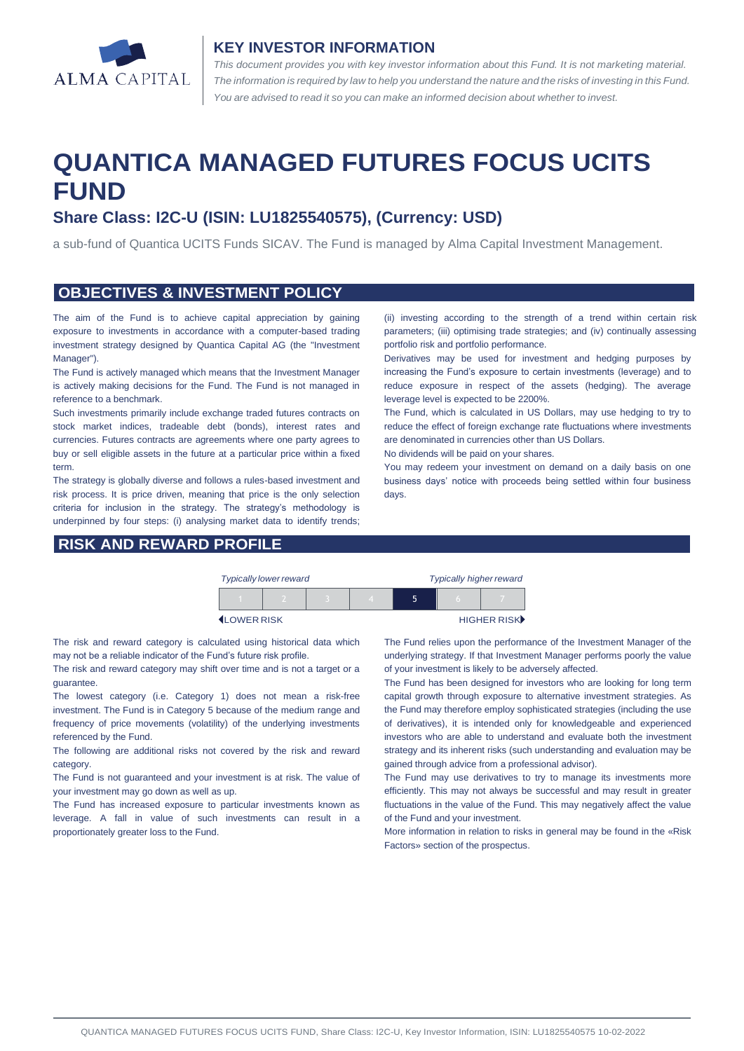

#### **KEY INVESTOR INFORMATION**

*This document provides you with key investor information about this Fund. It is not marketing material.*  The information is required by law to help you understand the nature and the risks of investing in this Fund. *You are advised to read it so you can make an informed decision about whether to invest.*

# **QUANTICA MANAGED FUTURES FOCUS UCITS FUND**

## **Share Class: I2C-U (ISIN: LU1825540575), (Currency: USD)**

a sub-fund of Quantica UCITS Funds SICAV. The Fund is managed by Alma Capital Investment Management.

#### **OBJECTIVES & INVESTMENT POLICY**

The aim of the Fund is to achieve capital appreciation by gaining exposure to investments in accordance with a computer-based trading investment strategy designed by Quantica Capital AG (the "Investment Manager").

The Fund is actively managed which means that the Investment Manager is actively making decisions for the Fund. The Fund is not managed in reference to a benchmark.

Such investments primarily include exchange traded futures contracts on stock market indices, tradeable debt (bonds), interest rates and currencies. Futures contracts are agreements where one party agrees to buy or sell eligible assets in the future at a particular price within a fixed term.

The strategy is globally diverse and follows a rules-based investment and risk process. It is price driven, meaning that price is the only selection criteria for inclusion in the strategy. The strategy's methodology is underpinned by four steps: (i) analysing market data to identify trends;

#### **RISK AND REWARD PROFILE**

(ii) investing according to the strength of a trend within certain risk parameters; (iii) optimising trade strategies; and (iv) continually assessing portfolio risk and portfolio performance.

Derivatives may be used for investment and hedging purposes by increasing the Fund's exposure to certain investments (leverage) and to reduce exposure in respect of the assets (hedging). The average leverage level is expected to be 2200%.

The Fund, which is calculated in US Dollars, may use hedging to try to reduce the effect of foreign exchange rate fluctuations where investments are denominated in currencies other than US Dollars.

No dividends will be paid on your shares.

You may redeem your investment on demand on a daily basis on one business days' notice with proceeds being settled within four business days.

| <b>Typically lower reward</b> |  |  |  | <b>Typically higher reward</b> |     |             |
|-------------------------------|--|--|--|--------------------------------|-----|-------------|
|                               |  |  |  |                                | ۱n. |             |
| <b>ILOWER RISK</b>            |  |  |  |                                |     | HIGHER RISK |

The risk and reward category is calculated using historical data which may not be a reliable indicator of the Fund's future risk profile.

The risk and reward category may shift over time and is not a target or a guarantee.

The lowest category (i.e. Category 1) does not mean a risk-free investment. The Fund is in Category 5 because of the medium range and frequency of price movements (volatility) of the underlying investments referenced by the Fund.

The following are additional risks not covered by the risk and reward category.

The Fund is not guaranteed and your investment is at risk. The value of your investment may go down as well as up.

The Fund has increased exposure to particular investments known as leverage. A fall in value of such investments can result in a proportionately greater loss to the Fund.

The Fund relies upon the performance of the Investment Manager of the underlying strategy. If that Investment Manager performs poorly the value of your investment is likely to be adversely affected.

The Fund has been designed for investors who are looking for long term capital growth through exposure to alternative investment strategies. As the Fund may therefore employ sophisticated strategies (including the use of derivatives), it is intended only for knowledgeable and experienced investors who are able to understand and evaluate both the investment strategy and its inherent risks (such understanding and evaluation may be gained through advice from a professional advisor).

The Fund may use derivatives to try to manage its investments more efficiently. This may not always be successful and may result in greater fluctuations in the value of the Fund. This may negatively affect the value of the Fund and your investment.

More information in relation to risks in general may be found in the «Risk Factors» section of the prospectus.